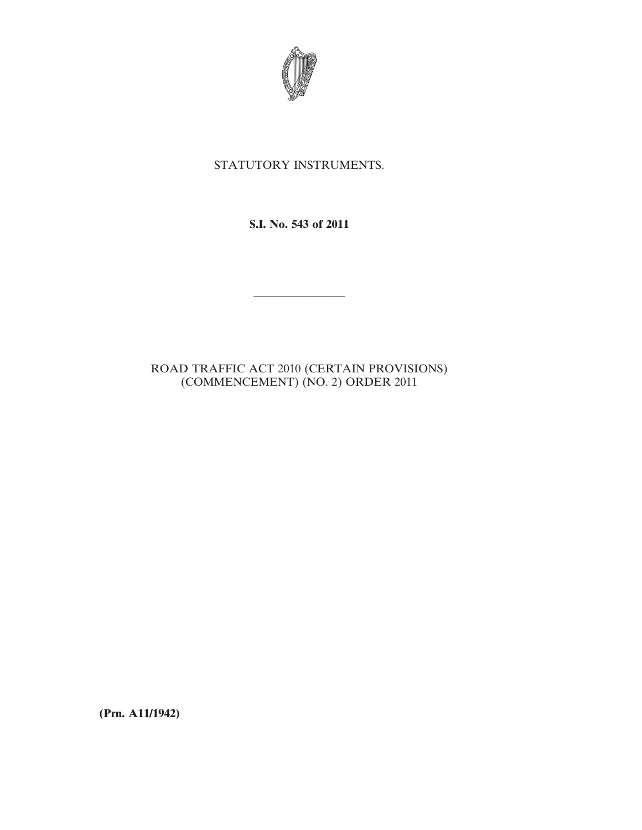

## STATUTORY INSTRUMENTS.

**S.I. No. 543 of 2011**

————————

## ROAD TRAFFIC ACT 2010 (CERTAIN PROVISIONS) (COMMENCEMENT) (NO. 2) ORDER 2011

**(Prn. A11/1942)**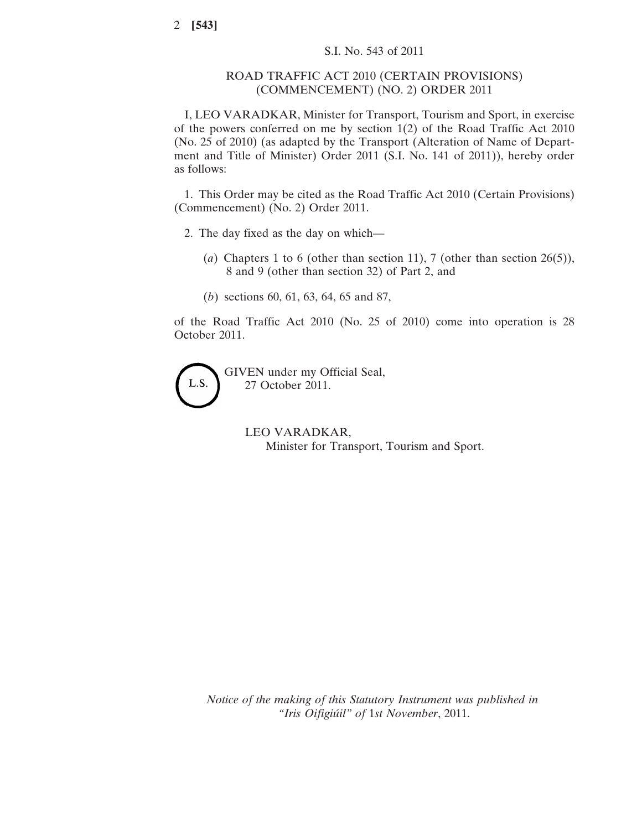## ROAD TRAFFIC ACT 2010 (CERTAIN PROVISIONS) (COMMENCEMENT) (NO. 2) ORDER 2011

I, LEO VARADKAR, Minister for Transport, Tourism and Sport, in exercise of the powers conferred on me by section 1(2) of the Road Traffic Act 2010 (No. 25 of 2010) (as adapted by the Transport (Alteration of Name of Department and Title of Minister) Order 2011 (S.I. No. 141 of 2011)), hereby order as follows:

1. This Order may be cited as the Road Traffic Act 2010 (Certain Provisions) (Commencement) (No. 2) Order 2011.

- 2. The day fixed as the day on which—
	- (*a*) Chapters 1 to 6 (other than section 11), 7 (other than section 26(5)), 8 and 9 (other than section 32) of Part 2, and
	- (*b*) sections 60, 61, 63, 64, 65 and 87,

of the Road Traffic Act 2010 (No. 25 of 2010) come into operation is 28 October 2011.



GIVEN under my Official Seal, 27 October 2011.

> LEO VARADKAR, Minister for Transport, Tourism and Sport.

*Notice of the making of this Statutory Instrument was published in "Iris Oifigiúil" of* 1*st November*, 2011.